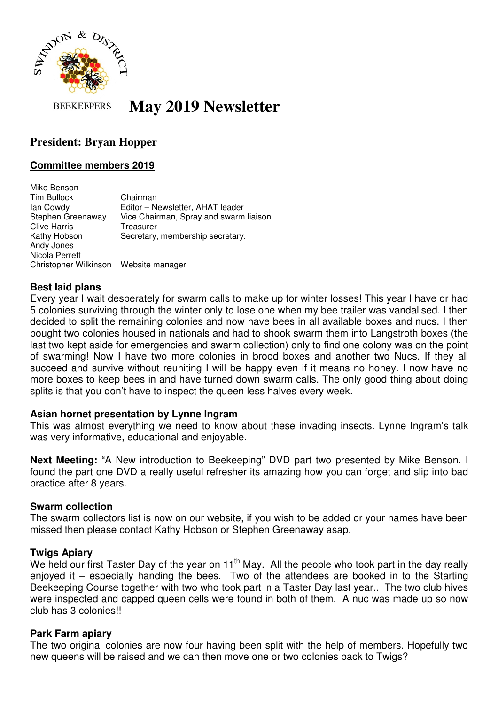

**May 2019 Newsletter BEEKEEPERS** 

# **President: Bryan Hopper**

### **Committee members 2019**

Mike Benson Tim Bullock Chairman Ian Cowdy Editor – Newsletter, AHAT leader Stephen Greenaway Vice Chairman, Spray and swarm liaison. Clive Harris Treasurer Kathy Hobson Secretary, membership secretary. Andy Jones Nicola Perrett Christopher Wilkinson Website manager

# **Best laid plans**

Every year I wait desperately for swarm calls to make up for winter losses! This year I have or had 5 colonies surviving through the winter only to lose one when my bee trailer was vandalised. I then decided to split the remaining colonies and now have bees in all available boxes and nucs. I then bought two colonies housed in nationals and had to shook swarm them into Langstroth boxes (the last two kept aside for emergencies and swarm collection) only to find one colony was on the point of swarming! Now I have two more colonies in brood boxes and another two Nucs. If they all succeed and survive without reuniting I will be happy even if it means no honey. I now have no more boxes to keep bees in and have turned down swarm calls. The only good thing about doing splits is that you don't have to inspect the queen less halves every week.

#### **Asian hornet presentation by Lynne Ingram**

This was almost everything we need to know about these invading insects. Lynne Ingram's talk was very informative, educational and enjoyable.

**Next Meeting:** "A New introduction to Beekeeping" DVD part two presented by Mike Benson. I found the part one DVD a really useful refresher its amazing how you can forget and slip into bad practice after 8 years.

#### **Swarm collection**

The swarm collectors list is now on our website, if you wish to be added or your names have been missed then please contact Kathy Hobson or Stephen Greenaway asap.

#### **Twigs Apiary**

We held our first Taster Day of the year on 11<sup>th</sup> May. All the people who took part in the day really enjoyed it – especially handing the bees. Two of the attendees are booked in to the Starting Beekeeping Course together with two who took part in a Taster Day last year.. The two club hives were inspected and capped queen cells were found in both of them. A nuc was made up so now club has 3 colonies!!

#### **Park Farm apiary**

The two original colonies are now four having been split with the help of members. Hopefully two new queens will be raised and we can then move one or two colonies back to Twigs?